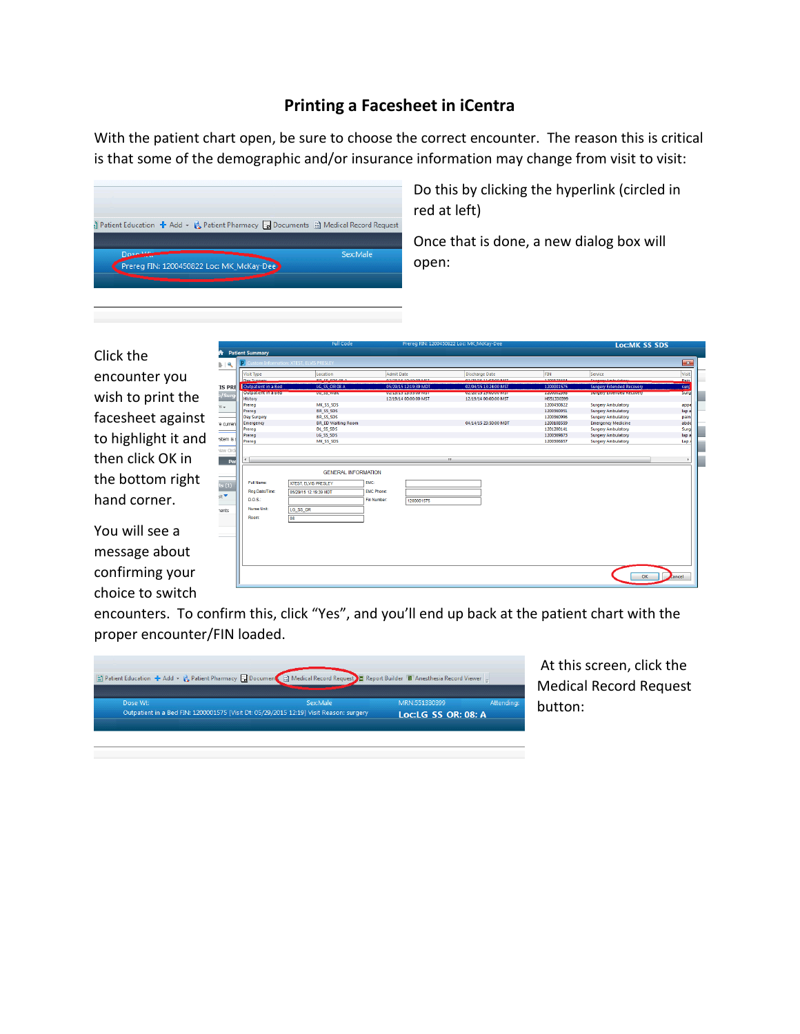## **Printing a Facesheet in iCentra**

With the patient chart open, be sure to choose the correct encounter. The reason this is critical is that some of the demographic and/or insurance information may change from visit to visit:



Do this by clicking the hyperlink (circled in red at left)

Once that is done, a new dialog box will open:

Click the encounter you wish to print the facesheet against to highlight it and then click OK in the bottom right hand corner.

You will see a message about confirming your choice to switch

| <b>Visit Type</b>           | Location                    | <b>Admit Date</b>                                                                                                                  | <b>Discharge Date</b>      | FIN                      | Service                                                |  |
|-----------------------------|-----------------------------|------------------------------------------------------------------------------------------------------------------------------------|----------------------------|--------------------------|--------------------------------------------------------|--|
| <b>Day Surgeon</b>          | <b>PD CC CDC OF A</b>       | 02/32/16 10:40:00 MCT                                                                                                              | 03/32/14 11:07:00 MCT      | 1200172494               | Company Ambulato                                       |  |
| Outpatient in a Bed         | LG SS OR 08 A               | 05/29/15 12:19:39 MDT                                                                                                              | 02/04/15 13:24:00 MST      | 1200001575               | <b>Surgery Extended Recovery</b>                       |  |
| <b>Cuttoationein a secu</b> | <b>RUBBEWORK</b>            | <b><i><u>PERMIT REPORT OF A STATE OF A STATE OF A STATE OF A STATE OF A STATE OF A STATE OF A STATE OF A STATE OF A ST</u></i></b> | <b>MARKAMED MANAGEMENT</b> | <b>REALISTIC PROGRAM</b> | мирау ехеново кесотау                                  |  |
| History                     |                             | 12/19/14 00:00:00 MST                                                                                                              | 12/19/14 00:00:00 MST      | H551330399               |                                                        |  |
| Prereg                      | MK SS SDS                   |                                                                                                                                    |                            | 1200450822               | <b>Surgery Ambulatory</b>                              |  |
| Prereg                      | BR_SS_SDS                   |                                                                                                                                    |                            | 1200360051               | <b>Surgery Ambulatory</b>                              |  |
| Day Surgery                 | BR SS SDS                   |                                                                                                                                    |                            | 1200360996               | <b>Surgery Ambulatory</b>                              |  |
| Emergency                   | <b>BR_ED Waiting Room</b>   |                                                                                                                                    | 04/14/15 23:50:00 MDT      | 1200108559               | <b>Emergency Medicine</b>                              |  |
| Prereg                      | DL SS SDS                   |                                                                                                                                    |                            | 1201200141               | <b>Surgery Ambulatory</b>                              |  |
| Prereg<br>Prereg            | LG SS SDS<br>MK_SS_SDS      |                                                                                                                                    |                            | 1200369873<br>1200306857 | <b>Surgery Ambulatory</b><br><b>Surgery Ambulatory</b> |  |
|                             |                             |                                                                                                                                    |                            |                          |                                                        |  |
|                             | <b>GENERAL INFORMATION</b>  |                                                                                                                                    |                            |                          |                                                        |  |
| Full Name:                  | <b>XTEST, ELVIS PRESLEY</b> | EMC:                                                                                                                               |                            |                          |                                                        |  |
| Reg Date/Time:              | 05/29/15 12:19:39 MDT       | EMC Phone:                                                                                                                         |                            |                          |                                                        |  |
| D.O.S.                      |                             | Fin Number:<br>1200001575                                                                                                          |                            |                          |                                                        |  |
| Nurse Unit:                 |                             |                                                                                                                                    |                            |                          |                                                        |  |
|                             | LG_SS_OR                    |                                                                                                                                    |                            |                          |                                                        |  |
| Room:<br>08                 |                             |                                                                                                                                    |                            |                          |                                                        |  |
|                             |                             |                                                                                                                                    |                            |                          |                                                        |  |
|                             |                             |                                                                                                                                    |                            |                          |                                                        |  |
|                             |                             |                                                                                                                                    |                            |                          |                                                        |  |
|                             |                             |                                                                                                                                    |                            |                          |                                                        |  |
|                             |                             |                                                                                                                                    |                            |                          |                                                        |  |

encounters. To confirm this, click "Yes", and you'll end up back at the patient chart with the proper encounter/FIN loaded.



At this screen, click the Medical Record Request button:

**OC:MK SS SDS**